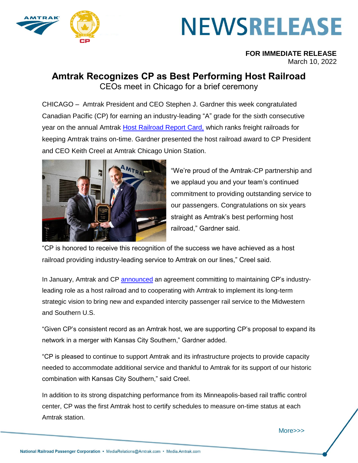

# **NEWSRELEASE**

# **FOR IMMEDIATE RELEASE** March 10, 2022

# **Amtrak Recognizes CP as Best Performing Host Railroad** CEOs meet in Chicago for a brief ceremony

CHICAGO – Amtrak President and CEO Stephen J. Gardner this week congratulated Canadian Pacific (CP) for earning an industry-leading "A" grade for the sixth consecutive year on the annual Amtrak [Host Railroad Report Card,](http://media.amtrak.com/wp-content/uploads/2022/03/Host-Railroad-Report-Card-2021-Final-v2.pdf) which ranks freight railroads for keeping Amtrak trains on-time. Gardner presented the host railroad award to CP President and CEO Keith Creel at Amtrak Chicago Union Station.



"We're proud of the Amtrak-CP partnership and we applaud you and your team's continued commitment to providing outstanding service to our passengers. Congratulations on six years straight as Amtrak's best performing host railroad," Gardner said.

"CP is honored to receive this recognition of the success we have achieved as a host railroad providing industry-leading service to Amtrak on our lines," Creel said.

In January, Amtrak and CP [announced](https://www.cpr.ca/en/media/amtrak-pledges-support-for-cp-kcs-combination) an agreement committing to maintaining CP's industryleading role as a host railroad and to cooperating with Amtrak to implement its long-term strategic vision to bring new and expanded intercity passenger rail service to the Midwestern and Southern U.S.

"Given CP's consistent record as an Amtrak host, we are supporting CP's proposal to expand its network in a merger with Kansas City Southern," Gardner added.

"CP is pleased to continue to support Amtrak and its infrastructure projects to provide capacity needed to accommodate additional service and thankful to Amtrak for its support of our historic combination with Kansas City Southern," said Creel.

In addition to its strong dispatching performance from its Minneapolis-based rail traffic control center, CP was the first Amtrak host to certify schedules to measure on-time status at each Amtrak station.

More>>>